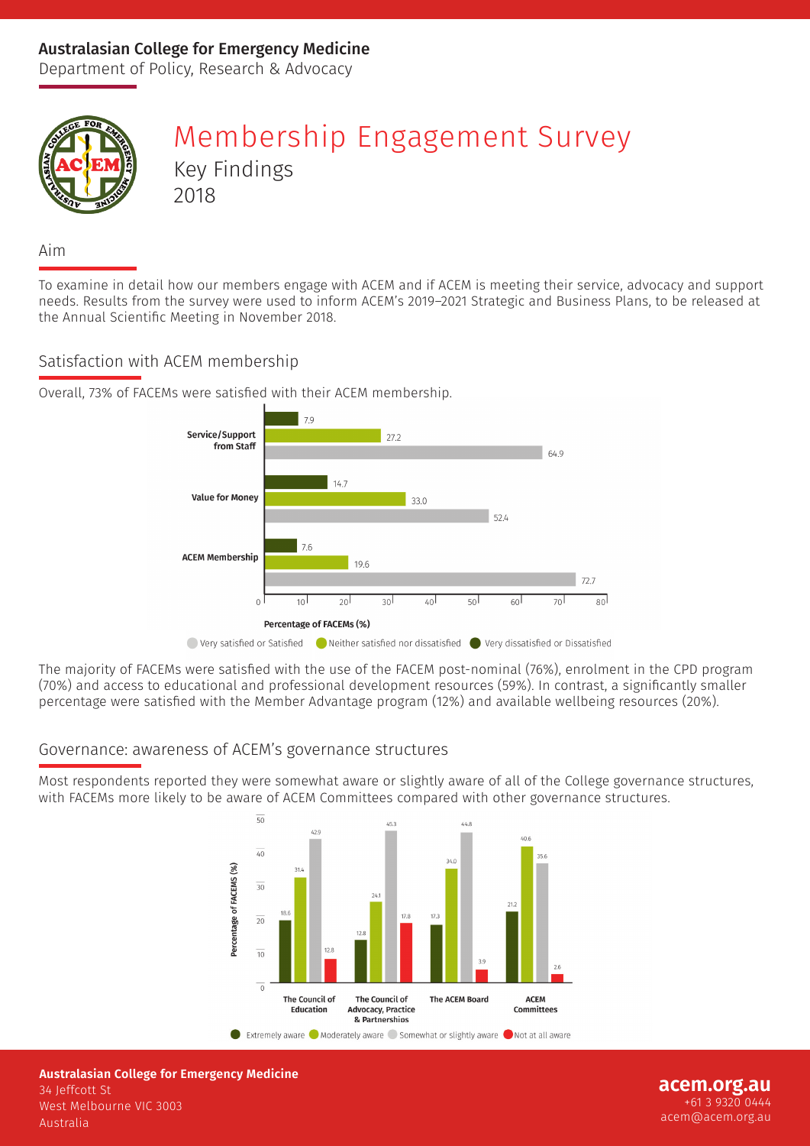### Australasian College for Emergency Medicine

Department of Policy, Research & Advocacy



# Membership Engagement Survey Key Findings 2018

Aim

To examine in detail how our members engage with ACEM and if ACEM is meeting their service, advocacy and support needs. Results from the survey were used to inform ACEM's 2019–2021 Strategic and Business Plans, to be released at the Annual Scientific Meeting in November 2018.

#### Satisfaction with ACEM membership





The majority of FACEMs were satisfied with the use of the FACEM post-nominal (76%), enrolment in the CPD program (70%) and access to educational and professional development resources (59%). In contrast, a significantly smaller percentage were satisfied with the Member Advantage program (12%) and available wellbeing resources (20%).

#### Governance: awareness of ACEM's governance structures

Most respondents reported they were somewhat aware or slightly aware of all of the College governance structures, with FACEMs more likely to be aware of ACEM Committees compared with other governance structures.



**Australasian College for Emergency Medicine** 34 Jeffcott St West Melbourne VIC 3003 Australia

**acem.org.au** +61 3 9320 0444 acem@acem.org.au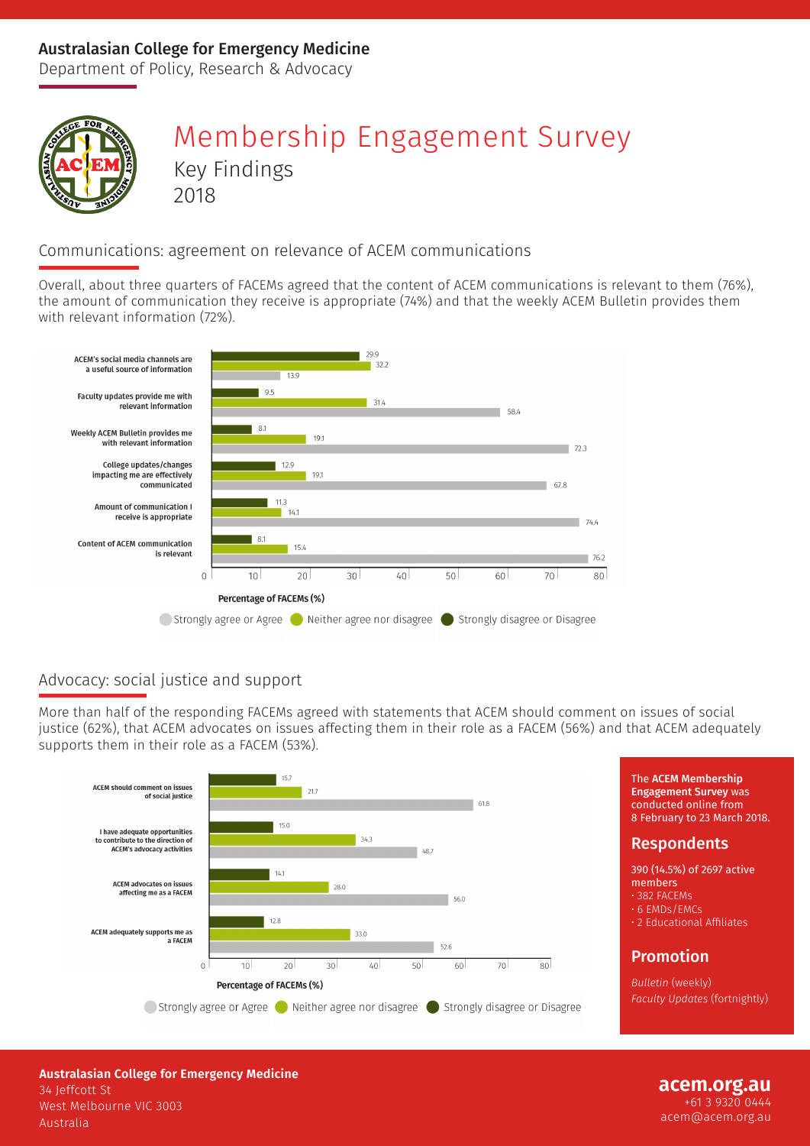### Australasian College for Emergency Medicine

Department of Policy, Research & Advocacy



# Membership Engagement Survey Key Findings 2018

### Communications: agreement on relevance of ACEM communications

Overall, about three quarters of FACEMs agreed that the content of ACEM communications is relevant to them (76%), the amount of communication they receive is appropriate (74%) and that the weekly ACEM Bulletin provides them with relevant information (72%).



## Advocacy: social justice and support

More than half of the responding FACEMs agreed with statements that ACEM should comment on issues of social justice (62%), that ACEM advocates on issues affecting them in their role as a FACEM (56%) and that ACEM adequately supports them in their role as a FACEM (53%).



The ACEM Membership Engagement Survey was conducted online from 8 February to 23 March 2018.

#### Respondents

390 (14.5%) of 2697 active members • 382 FACEMs • 6 EMDs/EMCs

• 2 Educational Affiliates

#### Promotion

*Bulletin* (weekly) *Faculty Updates* (fortnightly)

**Australasian College for Emergency Medicine** 34 Jeffcott St West Melbourne VIC 3003 Australia

#### **acem.org.au** +61 3 9320 0444 acem@acem.org.au